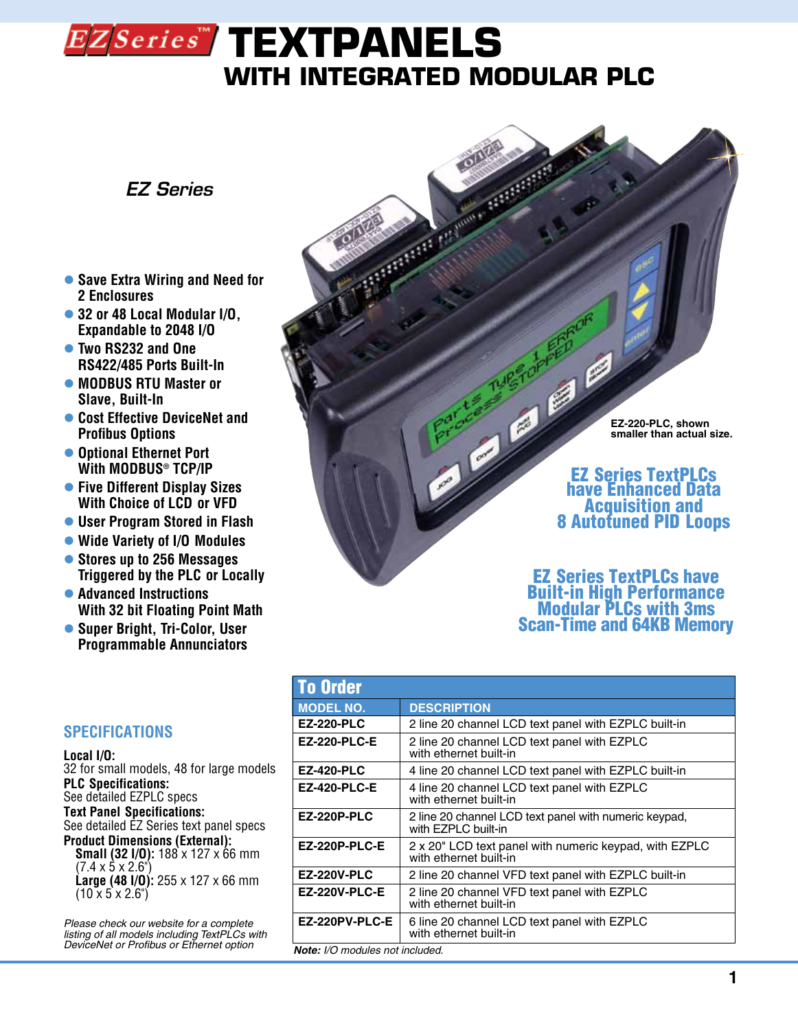# EZSeries<sup>\*\*</sup> TEXTPANELS **with INTEGRATED MODULAR PLC**

### *EZ Series*

- **Save Extra Wiring and Need for 2 Enclosures**
- 32 or 48 Local Modular I/O, **Expandable to 2048 I/O**
- l **Two RS232 and One RS422/485 Ports Built-In**
- $\bullet$  **MODBUS RTU Master or Slave, Built-In**
- **Cost Effective DeviceNet and Profibus Options**
- $\bullet$  **Optional Ethernet Port With MODBUS® TCP/IP**
- **Five Different Display Sizes With Choice of LCD or VFD**
- **User Program Stored in Flash**
- l **Wide Variety of I/O Modules**
- l **Stores up to 256 Messages Triggered by the PLC or Locally**
- **Advanced Instructions With 32 bit Floating Point Math**
- **Super Bright, Tri-Color, User Programmable Annunciators**

### **SPECIFICATIONS**

**Local I/O:**

32 for small models, 48 for large models **PLC Specifications:** See detailed EZPLC specs **Text Panel Specifications:** See detailed EZ Series text panel specs **Product Dimensions (External): Small (32 I/O):** 188 x 127 x 66 mm  $(7.4 \times 5 \times 2.6^{\circ})$ **Large (48 I/O):** 255 x 127 x 66 mm  $(10 \times 5 \times 2.6^{\circ})$ 

*Please check our website for a complete listing of all models including TextPLCs with DeviceNet or Profibus or Ethernet option*

**EZ-220-PLC, shown smaller than actual size.**

## EZ Series TextPLCs have Enhanced Data **8 Autotuned PID Loops**

Ø

Ø

### EZ Series TextPLCs have Built-in High Performance Modular PLCs with 3ms Scan-Time and 64KB Memory

| <b>To Order</b>                          |                                                                                  |  |
|------------------------------------------|----------------------------------------------------------------------------------|--|
| <b>MODEL NO.</b>                         | <b>DESCRIPTION</b>                                                               |  |
| <b>EZ-220-PLC</b>                        | 2 line 20 channel LCD text panel with EZPLC built-in                             |  |
| <b>EZ-220-PLC-E</b>                      | 2 line 20 channel LCD text panel with EZPLC<br>with ethernet built-in            |  |
| <b>EZ-420-PLC</b>                        | 4 line 20 channel LCD text panel with EZPLC built-in                             |  |
| <b>EZ-420-PLC-E</b>                      | 4 line 20 channel LCD text panel with EZPLC<br>with ethernet built-in            |  |
| <b>EZ-220P-PLC</b>                       | 2 line 20 channel LCD text panel with numeric keypad,<br>with EZPLC built-in     |  |
| <b>EZ-220P-PLC-E</b>                     | 2 x 20" LCD text panel with numeric keypad, with EZPLC<br>with ethernet built-in |  |
| <b>EZ-220V-PLC</b>                       | 2 line 20 channel VFD text panel with EZPLC built-in                             |  |
| <b>EZ-220V-PLC-E</b>                     | 2 line 20 channel VFD text panel with EZPLC<br>with ethernet built-in            |  |
| EZ-220PV-PLC-E                           | 6 line 20 channel LCD text panel with EZPLC<br>with ethernet built-in            |  |
| $M$ ata: $1/\Omega$ modules not included |                                                                                  |  |

*Note: I/O modules not included.*